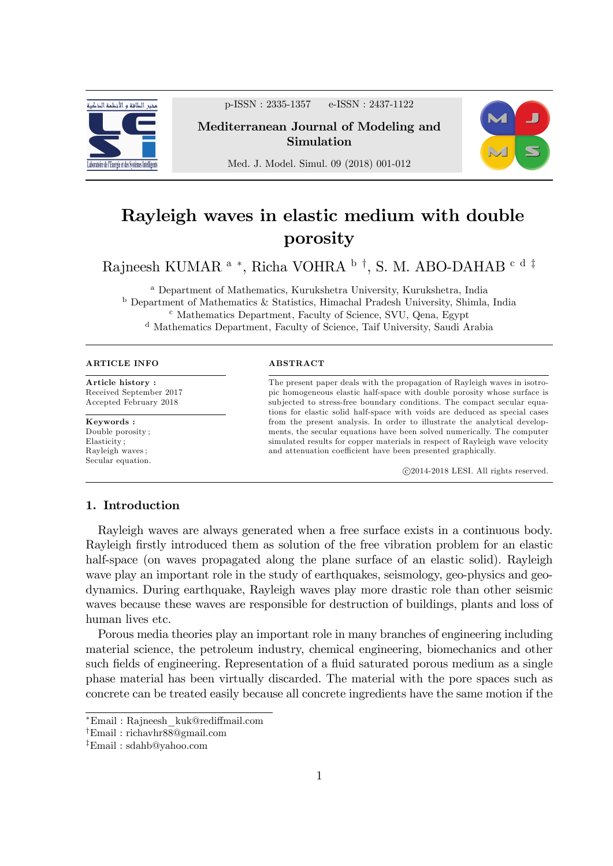

p-ISSN : 2335-1357 e-ISSN : 2437-1122

Mediterranean Journal of Modeling and Simulation



Med. J. Model. Simul. 09 (2018) 001-012

# Rayleigh waves in elastic medium with double porosity

Rajneesh KUMAR <sup>a</sup> \*, Richa VOHRA <sup>b</sup> <sup>†</sup>, S. M. ABO-DAHAB <sup>c d‡</sup>

<sup>a</sup> Department of Mathematics, Kurukshetra University, Kurukshetra, India <sup>b</sup> Department of Mathematics & Statistics, Himachal Pradesh University, Shimla, India <sup>c</sup> Mathematics Department, Faculty of Science, SVU, Qena, Egypt <sup>d</sup> Mathematics Department, Faculty of Science, Taif University, Saudi Arabia

#### ARTICLE INFO

Article history : Received September 2017 Accepted February 2018

Keywords : Double porosity ; Elasticity ; Rayleigh waves ; Secular equation.

#### ABSTRACT

The present paper deals with the propagation of Rayleigh waves in isotropic homogeneous elastic half-space with double porosity whose surface is subjected to stress-free boundary conditions. The compact secular equations for elastic solid half-space with voids are deduced as special cases from the present analysis. In order to illustrate the analytical developments, the secular equations have been solved numerically. The computer simulated results for copper materials in respect of Rayleigh wave velocity and attenuation coefficient have been presented graphically.

c 2014-2018 LESI. All rights reserved.

## 1. Introduction

Rayleigh waves are always generated when a free surface exists in a continuous body. Rayleigh firstly introduced them as solution of the free vibration problem for an elastic half-space (on waves propagated along the plane surface of an elastic solid). Rayleigh wave play an important role in the study of earthquakes, seismology, geo-physics and geodynamics. During earthquake, Rayleigh waves play more drastic role than other seismic waves because these waves are responsible for destruction of buildings, plants and loss of human lives etc.

Porous media theories play an important role in many branches of engineering including material science, the petroleum industry, chemical engineering, biomechanics and other such fields of engineering. Representation of a fluid saturated porous medium as a single phase material has been virtually discarded. The material with the pore spaces such as concrete can be treated easily because all concrete ingredients have the same motion if the

Email : Rajneesh\_kuk@redi§mail.com

<sup>y</sup>Email : richavhr88@gmail.com

<sup>z</sup>Email : sdahb@yahoo.com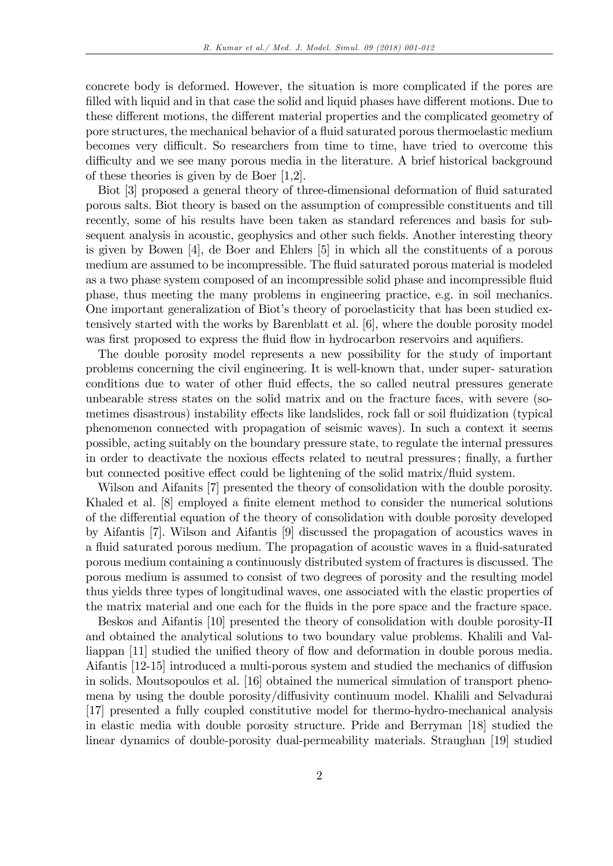concrete body is deformed. However, the situation is more complicated if the pores are filled with liquid and in that case the solid and liquid phases have different motions. Due to these different motions, the different material properties and the complicated geometry of pore structures, the mechanical behavior of a áuid saturated porous thermoelastic medium becomes very difficult. So researchers from time to time, have tried to overcome this difficulty and we see many porous media in the literature. A brief historical background of these theories is given by de Boer [1,2].

Biot [3] proposed a general theory of three-dimensional deformation of fluid saturated porous salts. Biot theory is based on the assumption of compressible constituents and till recently, some of his results have been taken as standard references and basis for subsequent analysis in acoustic, geophysics and other such fields. Another interesting theory is given by Bowen [4], de Boer and Ehlers [5] in which all the constituents of a porous medium are assumed to be incompressible. The fluid saturated porous material is modeled as a two phase system composed of an incompressible solid phase and incompressible fluid phase, thus meeting the many problems in engineering practice, e.g. in soil mechanics. One important generalization of Biot's theory of poroelasticity that has been studied extensively started with the works by Barenblatt et al. [6], where the double porosity model was first proposed to express the fluid flow in hydrocarbon reservoirs and aquifiers.

The double porosity model represents a new possibility for the study of important problems concerning the civil engineering. It is well-known that, under super- saturation conditions due to water of other fluid effects, the so called neutral pressures generate unbearable stress states on the solid matrix and on the fracture faces, with severe (sometimes disastrous) instability effects like landslides, rock fall or soil fluidization (typical phenomenon connected with propagation of seismic waves). In such a context it seems possible, acting suitably on the boundary pressure state, to regulate the internal pressures in order to deactivate the noxious effects related to neutral pressures; finally, a further but connected positive effect could be lightening of the solid matrix/fluid system.

Wilson and Aifanits [7] presented the theory of consolidation with the double porosity. Khaled et al. [8] employed a finite element method to consider the numerical solutions of the differential equation of the theory of consolidation with double porosity developed by Aifantis [7]. Wilson and Aifantis [9] discussed the propagation of acoustics waves in a fluid saturated porous medium. The propagation of acoustic waves in a fluid-saturated porous medium containing a continuously distributed system of fractures is discussed. The porous medium is assumed to consist of two degrees of porosity and the resulting model thus yields three types of longitudinal waves, one associated with the elastic properties of the matrix material and one each for the fluids in the pore space and the fracture space.

Beskos and Aifantis [10] presented the theory of consolidation with double porosity-II and obtained the analytical solutions to two boundary value problems. Khalili and Valliappan [11] studied the unified theory of flow and deformation in double porous media. Aifantis  $[12-15]$  introduced a multi-porous system and studied the mechanics of diffusion in solids. Moutsopoulos et al. [16] obtained the numerical simulation of transport phenomena by using the double porosity/diffusivity continuum model. Khalili and Selvadurai [17] presented a fully coupled constitutive model for thermo-hydro-mechanical analysis in elastic media with double porosity structure. Pride and Berryman [18] studied the linear dynamics of double-porosity dual-permeability materials. Straughan [19] studied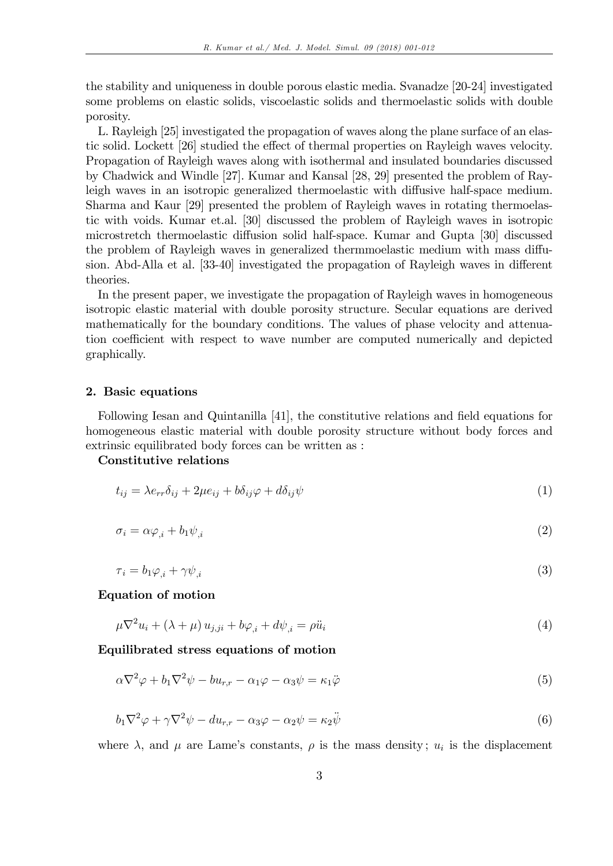the stability and uniqueness in double porous elastic media. Svanadze [20-24] investigated some problems on elastic solids, viscoelastic solids and thermoelastic solids with double porosity.

L. Rayleigh [25] investigated the propagation of waves along the plane surface of an elastic solid. Lockett [26] studied the effect of thermal properties on Rayleigh waves velocity. Propagation of Rayleigh waves along with isothermal and insulated boundaries discussed by Chadwick and Windle [27]. Kumar and Kansal [28, 29] presented the problem of Rayleigh waves in an isotropic generalized thermoelastic with diffusive half-space medium. Sharma and Kaur [29] presented the problem of Rayleigh waves in rotating thermoelastic with voids. Kumar et.al. [30] discussed the problem of Rayleigh waves in isotropic microstretch thermoelastic diffusion solid half-space. Kumar and Gupta [30] discussed the problem of Rayleigh waves in generalized thermmoelastic medium with mass diffusion. Abd-Alla et al. [33-40] investigated the propagation of Rayleigh waves in different theories.

In the present paper, we investigate the propagation of Rayleigh waves in homogeneous isotropic elastic material with double porosity structure. Secular equations are derived mathematically for the boundary conditions. The values of phase velocity and attenuation coefficient with respect to wave number are computed numerically and depicted graphically.

#### 2. Basic equations

Following Iesan and Quintanilla [41], the constitutive relations and field equations for homogeneous elastic material with double porosity structure without body forces and extrinsic equilibrated body forces can be written as :

Constitutive relations

$$
t_{ij} = \lambda e_{rr} \delta_{ij} + 2\mu e_{ij} + b\delta_{ij}\varphi + d\delta_{ij}\psi \tag{1}
$$

$$
\sigma_i = \alpha \varphi_{,i} + b_1 \psi_{,i} \tag{2}
$$

$$
\tau_i = b_1 \varphi_{,i} + \gamma \psi_{,i} \tag{3}
$$

Equation of motion

$$
\mu \nabla^2 u_i + (\lambda + \mu) u_{j,ji} + b\varphi_{,i} + d\psi_{,i} = \rho \ddot{u}_i
$$
\n<sup>(4)</sup>

Equilibrated stress equations of motion

$$
\alpha \nabla^2 \varphi + b_1 \nabla^2 \psi - b u_{r,r} - \alpha_1 \varphi - \alpha_3 \psi = \kappa_1 \ddot{\varphi}
$$
\n<sup>(5)</sup>

$$
b_1 \nabla^2 \varphi + \gamma \nabla^2 \psi - du_{r,r} - \alpha_3 \varphi - \alpha_2 \psi = \kappa_2 \ddot{\psi}
$$
\n<sup>(6)</sup>

where  $\lambda$ , and  $\mu$  are Lame's constants,  $\rho$  is the mass density;  $u_i$  is the displacement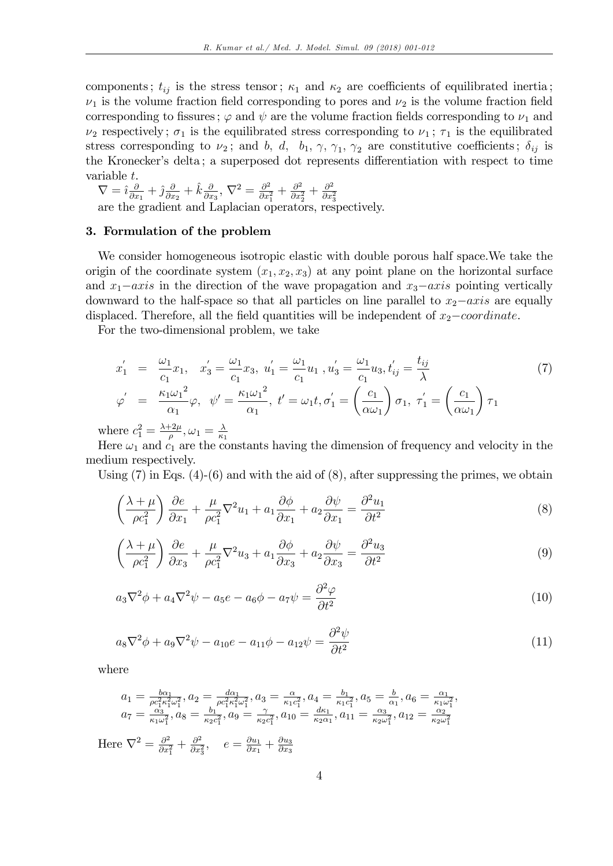components;  $t_{ij}$  is the stress tensor;  $\kappa_1$  and  $\kappa_2$  are coefficients of equilibrated inertia;  $\nu_1$  is the volume fraction field corresponding to pores and  $\nu_2$  is the volume fraction field corresponding to fissures;  $\varphi$  and  $\psi$  are the volume fraction fields corresponding to  $\nu_1$  and  $\nu_2$  respectively;  $\sigma_1$  is the equilibrated stress corresponding to  $\nu_1$ ;  $\tau_1$  is the equilibrated stress corresponding to  $\nu_2$ ; and b, d, b<sub>1</sub>,  $\gamma$ ,  $\gamma_1$ ,  $\gamma_2$  are constitutive coefficients;  $\delta_{ij}$  is the Kronecker's delta; a superposed dot represents differentiation with respect to time variable t.

 $\nabla = \hat{i} \frac{\partial}{\partial x}$  $\frac{\partial}{\partial x_1} + \hat{j} \frac{\partial}{\partial x_1}$  $\frac{\partial}{\partial x_2} + \hat{k} \frac{\partial}{\partial x}$  $\frac{\partial}{\partial x_3},\,\nabla^2=\frac{\partial^2}{\partial x_3^2}$  $\frac{\partial^2}{\partial x_1^2} + \frac{\partial^2}{\partial x_1^2}$  $\frac{\partial^2}{\partial x_2^2} + \frac{\partial^2}{\partial x_2^2}$ 

 $v - i \frac{\partial}{\partial x_1} + j \frac{\partial}{\partial x_2} + k \frac{\partial}{\partial x_3}, \quad v - \frac{\partial}{\partial x_1^2} + \frac{\partial}{\partial x_2^2} + \frac{\partial}{\partial x_3^2}$ <br>are the gradient and Laplacian operators, respectively.

## 3. Formulation of the problem

We consider homogeneous isotropic elastic with double porous half space.We take the origin of the coordinate system  $(x_1, x_2, x_3)$  at any point plane on the horizontal surface and  $x_1$ -axis in the direction of the wave propagation and  $x_3$ -axis pointing vertically downward to the half-space so that all particles on line parallel to  $x_2$ -axis are equally displaced. Therefore, all the field quantities will be independent of  $x_2$ -coordinate.

For the two-dimensional problem, we take

$$
x'_{1} = \frac{\omega_{1}}{c_{1}}x_{1}, \quad x'_{3} = \frac{\omega_{1}}{c_{1}}x_{3}, \quad u'_{1} = \frac{\omega_{1}}{c_{1}}u_{1}, \quad u'_{3} = \frac{\omega_{1}}{c_{1}}u_{3}, \quad t'_{ij} = \frac{t_{ij}}{\lambda}
$$
  
\n
$$
\varphi' = \frac{\kappa_{1}\omega_{1}^{2}}{\alpha_{1}}\varphi, \quad \psi' = \frac{\kappa_{1}\omega_{1}^{2}}{\alpha_{1}}, \quad t' = \omega_{1}t, \quad \sigma'_{1} = \left(\frac{c_{1}}{\alpha\omega_{1}}\right)\sigma_{1}, \quad \tau'_{1} = \left(\frac{c_{1}}{\alpha\omega_{1}}\right)\tau_{1}
$$
\n
$$
\varphi' = \frac{\lambda + 2\mu}{\lambda} \quad \lambda \tag{7}
$$

where  $c_1^2 = \frac{\lambda + 2\mu}{\rho}$  $\frac{12\mu}{\rho}, \omega_1 = \frac{\lambda}{\kappa_1}$  $\kappa_1$ 

Here  $\omega_1$  and  $c_1$  are the constants having the dimension of frequency and velocity in the medium respectively.

Using  $(7)$  in Eqs.  $(4)-(6)$  and with the aid of  $(8)$ , after suppressing the primes, we obtain

$$
\left(\frac{\lambda+\mu}{\rho c_1^2}\right)\frac{\partial e}{\partial x_1} + \frac{\mu}{\rho c_1^2}\nabla^2 u_1 + a_1 \frac{\partial \phi}{\partial x_1} + a_2 \frac{\partial \psi}{\partial x_1} = \frac{\partial^2 u_1}{\partial t^2}
$$
\n(8)

$$
\left(\frac{\lambda+\mu}{\rho c_1^2}\right)\frac{\partial e}{\partial x_3} + \frac{\mu}{\rho c_1^2}\nabla^2 u_3 + a_1 \frac{\partial \phi}{\partial x_3} + a_2 \frac{\partial \psi}{\partial x_3} = \frac{\partial^2 u_3}{\partial t^2}
$$
\n
$$
\tag{9}
$$

$$
a_3 \nabla^2 \phi + a_4 \nabla^2 \psi - a_5 e - a_6 \phi - a_7 \psi = \frac{\partial^2 \varphi}{\partial t^2}
$$
\n<sup>(10)</sup>

$$
a_8 \nabla^2 \phi + a_9 \nabla^2 \psi - a_{10} e - a_{11} \phi - a_{12} \psi = \frac{\partial^2 \psi}{\partial t^2}
$$
 (11)

where

$$
a_1 = \frac{b\alpha_1}{\rho c_1^2 \kappa_1^2 \omega_1^2}, a_2 = \frac{d\alpha_1}{\rho c_1^2 \kappa_1^2 \omega_1^2}, a_3 = \frac{\alpha}{\kappa_1 c_1^2}, a_4 = \frac{b_1}{\kappa_1 c_1^2}, a_5 = \frac{b}{\alpha_1}, a_6 = \frac{\alpha_1}{\kappa_1 \omega_1^2}, a_7 = \frac{\alpha_3}{\kappa_1 \omega_1^2}, a_8 = \frac{b_1}{\kappa_2 c_1^2}, a_9 = \frac{\gamma}{\kappa_2 c_1^2}, a_{10} = \frac{d\kappa_1}{\kappa_2 \omega_1}, a_{11} = \frac{\alpha_3}{\kappa_2 \omega_1^2}, a_{12} = \frac{\alpha_2}{\kappa_2 \omega_1^2}
$$

Here  $\nabla^2 = \frac{\partial^2}{\partial x^2}$  $\frac{\partial^2}{\partial x_1^2} + \frac{\partial^2}{\partial x_2^2}$  $\frac{\partial^2}{\partial x_3^2}$ ,  $e = \frac{\partial u_1}{\partial x_1}$  $\frac{\partial u_1}{\partial x_1} + \frac{\partial u_3}{\partial x_3}$  $\partial x_3$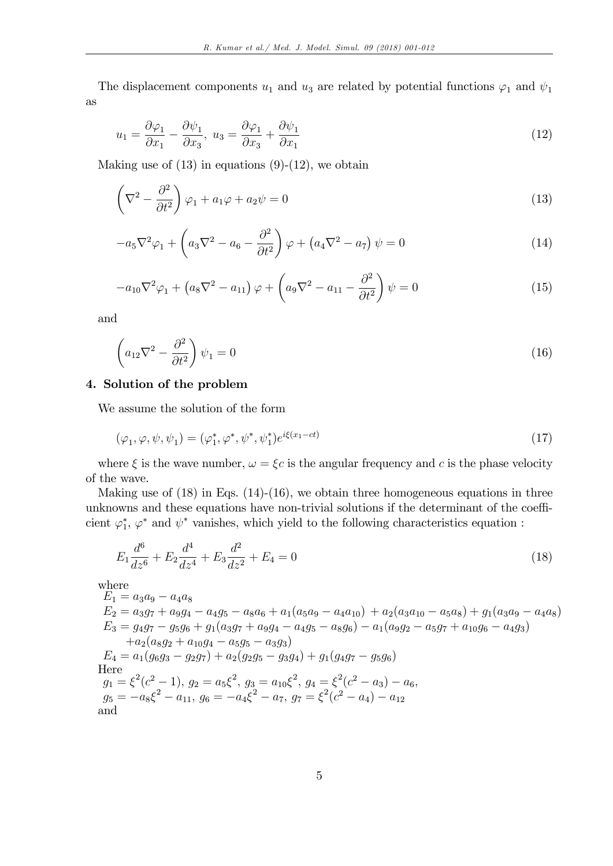The displacement components  $u_1$  and  $u_3$  are related by potential functions  $\varphi_1$  and  $\psi_1$ as

$$
u_1 = \frac{\partial \varphi_1}{\partial x_1} - \frac{\partial \psi_1}{\partial x_3}, \ u_3 = \frac{\partial \varphi_1}{\partial x_3} + \frac{\partial \psi_1}{\partial x_1} \tag{12}
$$

Making use of  $(13)$  in equations  $(9)-(12)$ , we obtain

$$
\left(\nabla^2 - \frac{\partial^2}{\partial t^2}\right)\varphi_1 + a_1\varphi + a_2\psi = 0\tag{13}
$$

$$
-a_5\nabla^2\varphi_1 + \left(a_3\nabla^2 - a_6 - \frac{\partial^2}{\partial t^2}\right)\varphi + \left(a_4\nabla^2 - a_7\right)\psi = 0\tag{14}
$$

$$
-a_{10}\nabla^2\varphi_1 + \left(a_8\nabla^2 - a_{11}\right)\varphi + \left(a_9\nabla^2 - a_{11} - \frac{\partial^2}{\partial t^2}\right)\psi = 0\tag{15}
$$

and

$$
\left(a_{12}\nabla^2 - \frac{\partial^2}{\partial t^2}\right)\psi_1 = 0\tag{16}
$$

#### 4. Solution of the problem

We assume the solution of the form

$$
(\varphi_1, \varphi, \psi, \psi_1) = (\varphi_1^*, \varphi^*, \psi^*, \psi_1^*) e^{i\xi(x_1 - ct)}
$$
\n(17)

where  $\xi$  is the wave number,  $\omega = \xi c$  is the angular frequency and c is the phase velocity of the wave.

Making use of  $(18)$  in Eqs.  $(14)-(16)$ , we obtain three homogeneous equations in three unknowns and these equations have non-trivial solutions if the determinant of the coefficient  $\varphi_1^*, \varphi^*$  and  $\psi^*$  vanishes, which yield to the following characteristics equation :

$$
E_1 \frac{d^6}{dz^6} + E_2 \frac{d^4}{dz^4} + E_3 \frac{d^2}{dz^2} + E_4 = 0
$$
\n(18)

where

 $E_1 = a_3a_9 - a_4a_8$  $E_2 = a_3g_7 + a_9g_4 - a_4g_5 - a_8a_6 + a_1(a_5a_9 - a_4a_{10}) + a_2(a_3a_{10} - a_5a_8) + g_1(a_3a_9 - a_4a_8)$  $E_3 = g_4g_7 - g_5g_6 + g_1(a_3g_7 + a_9g_4 - a_4g_5 - a_8g_6) - a_1(a_9g_2 - a_5g_7 + a_{10}g_6 - a_4g_3)$  $+a_2(a_8g_2 + a_{10}g_4 - a_5g_5 - a_3g_3)$  $E_4 = a_1(g_6g_3 - g_2g_7) + a_2(g_2g_5 - g_3g_4) + g_1(g_4g_7 - g_5g_6)$ Here  $g_1 = \xi^2(c^2 - 1), g_2 = a_5\xi^2, g_3 = a_{10}\xi^2, g_4 = \xi^2(c^2 - a_3) - a_6,$  $g_5 = -a_8\xi^2 - a_{11}, g_6 = -a_4\xi^2 - a_7, g_7 = \xi^2(c^2 - a_4) - a_{12}$ and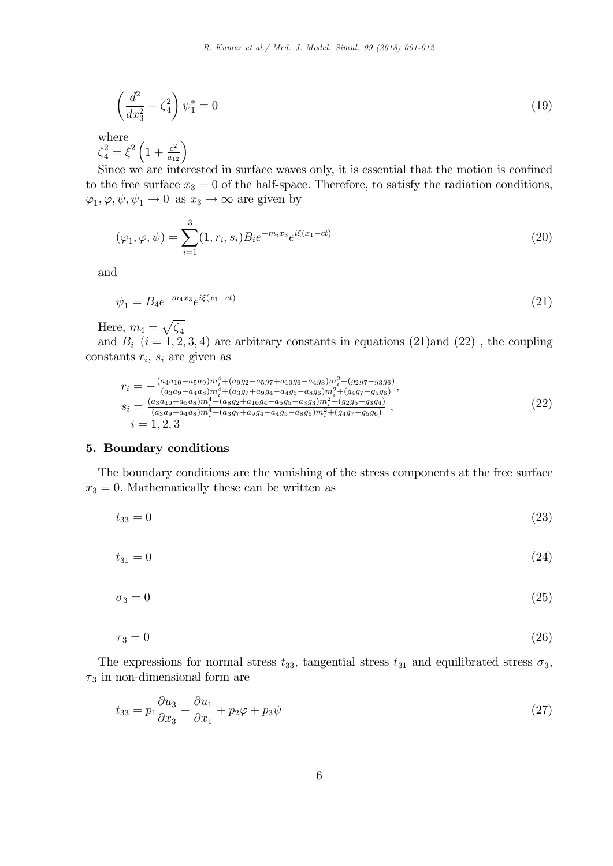$$
\left(\frac{d^2}{dx_3^2} - \zeta_4^2\right)\psi_1^* = 0\tag{19}
$$

where  $\zeta_4^2 = \xi^2 \left( 1 + \frac{c^2}{a_{12}} \right)$ 

Since we are interested in surface waves only, it is essential that the motion is confined to the free surface  $x_3 = 0$  of the half-space. Therefore, to satisfy the radiation conditions,  $\varphi_1, \varphi, \psi, \psi_1 \to 0$  as  $x_3 \to \infty$  are given by

$$
(\varphi_1, \varphi, \psi) = \sum_{i=1}^{3} (1, r_i, s_i) B_i e^{-m_i x_3} e^{i\xi(x_1 - ct)}
$$
\n(20)

and

$$
\psi_1 = B_4 e^{-m_4 x_3} e^{i\xi(x_1 - ct)} \tag{21}
$$

Here,  $m_4 = \sqrt{\zeta_4}$ 

and  $B_i$   $(i = 1, 2, 3, 4)$  are arbitrary constants in equations (21)and (22), the coupling constants  $r_i$ ,  $s_i$  are given as

$$
r_{i} = -\frac{(a_{4}a_{10} - a_{5}a_{9})m_{i}^{4} + (a_{9}a_{2} - a_{5}a_{7} + a_{10}a_{6} - a_{4}a_{3})m_{i}^{2} + (g_{2}g_{7} - g_{3}g_{6})}{(a_{3}a_{9} - a_{4}a_{8})m_{i}^{4} + (a_{3}g_{7} + a_{9}g_{4} - a_{4}g_{5} - a_{8}g_{6})m_{i}^{2} + (g_{4}g_{7} - g_{5}g_{6})},
$$
  
\n
$$
s_{i} = \frac{(a_{3}a_{10} - a_{5}a_{8})m_{i}^{4} + (a_{8}g_{2} + a_{10}g_{4} - a_{5}g_{5} - a_{3}g_{3})m_{i}^{2} + (g_{2}g_{5} - g_{3}g_{4})}{(a_{3}a_{9} - a_{4}a_{8})m_{i}^{4} + (a_{3}g_{7} + a_{9}g_{4} - a_{4}g_{5} - a_{8}g_{6})m_{i}^{2} + (g_{4}g_{7} - g_{5}g_{6})},
$$
  
\n
$$
i = 1, 2, 3
$$
\n(22)

## 5. Boundary conditions

The boundary conditions are the vanishing of the stress components at the free surface  $x_3 = 0$ . Mathematically these can be written as

$$
t_{33} = 0 \tag{23}
$$

$$
t_{31} = 0 \tag{24}
$$

$$
\sigma_3 = 0 \tag{25}
$$

$$
\tau_3 = 0 \tag{26}
$$

The expressions for normal stress  $t_{33}$ , tangential stress  $t_{31}$  and equilibrated stress  $\sigma_3$ ,  $\tau_3$  in non-dimensional form are

$$
t_{33} = p_1 \frac{\partial u_3}{\partial x_3} + \frac{\partial u_1}{\partial x_1} + p_2 \varphi + p_3 \psi \tag{27}
$$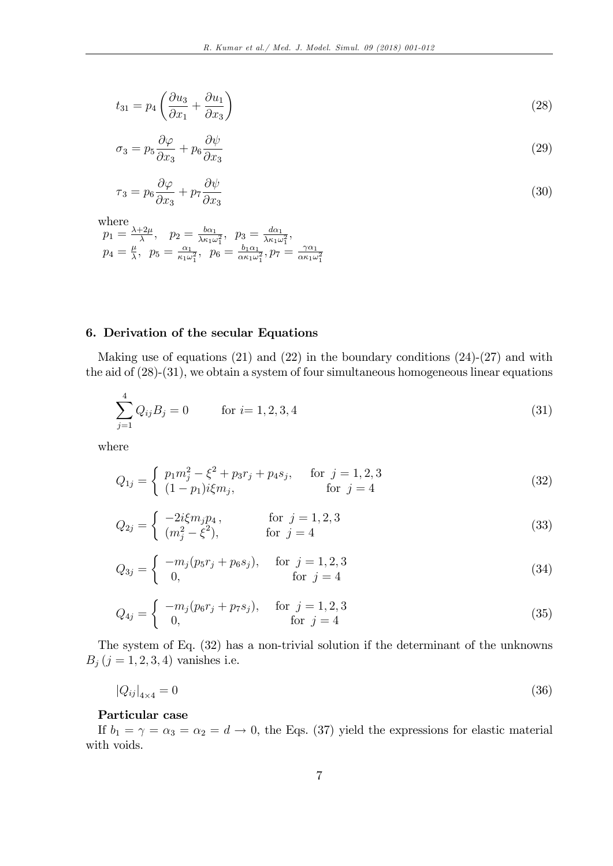$$
t_{31} = p_4 \left(\frac{\partial u_3}{\partial x_1} + \frac{\partial u_1}{\partial x_3}\right) \tag{28}
$$

$$
\sigma_3 = p_5 \frac{\partial \varphi}{\partial x_3} + p_6 \frac{\partial \psi}{\partial x_3} \tag{29}
$$

$$
\tau_3 = p_6 \frac{\partial \varphi}{\partial x_3} + p_7 \frac{\partial \psi}{\partial x_3} \tag{30}
$$

where  
\n
$$
p_1 = \frac{\lambda + 2\mu}{\lambda}, \quad p_2 = \frac{b\alpha_1}{\lambda \kappa_1 \omega_1^2}, \quad p_3 = \frac{d\alpha_1}{\lambda \kappa_1 \omega_1^2},
$$
  
\n $p_4 = \frac{\mu}{\lambda}, \quad p_5 = \frac{\alpha_1}{\kappa_1 \omega_1^2}, \quad p_6 = \frac{b_1 \alpha_1}{\alpha \kappa_1 \omega_1^2}, p_7 = \frac{\gamma \alpha_1}{\alpha \kappa_1 \omega_1^2}$ 

## 6. Derivation of the secular Equations

Making use of equations  $(21)$  and  $(22)$  in the boundary conditions  $(24)-(27)$  and with the aid of  $(28)-(31)$ , we obtain a system of four simultaneous homogeneous linear equations

$$
\sum_{j=1}^{4} Q_{ij} B_j = 0 \qquad \text{for } i = 1, 2, 3, 4
$$
\n(31)

where

$$
Q_{1j} = \begin{cases} p_1 m_j^2 - \xi^2 + p_3 r_j + p_4 s_j, & \text{for } j = 1, 2, 3\\ (1 - p_1) i \xi m_j, & \text{for } j = 4 \end{cases}
$$
 (32)

$$
Q_{2j} = \begin{cases} -2i\xi m_j p_4, & \text{for } j = 1, 2, 3\\ (m_j^2 - \xi^2), & \text{for } j = 4 \end{cases}
$$
 (33)

$$
Q_{3j} = \begin{cases} -m_j(p_5r_j + p_6s_j), & \text{for } j = 1, 2, 3\\ 0, & \text{for } j = 4 \end{cases}
$$
 (34)

$$
Q_{4j} = \begin{cases} -m_j(p_6r_j + p_7s_j), & \text{for } j = 1, 2, 3\\ 0, & \text{for } j = 4 \end{cases}
$$
 (35)

The system of Eq. (32) has a non-trivial solution if the determinant of the unknowns  $B_j$   $(j = 1, 2, 3, 4)$  vanishes i.e.

$$
|Q_{ij}|_{4\times 4} = 0\tag{36}
$$

## Particular case

If  $b_1 = \gamma = \alpha_3 = \alpha_2 = d \rightarrow 0$ , the Eqs. (37) yield the expressions for elastic material with voids.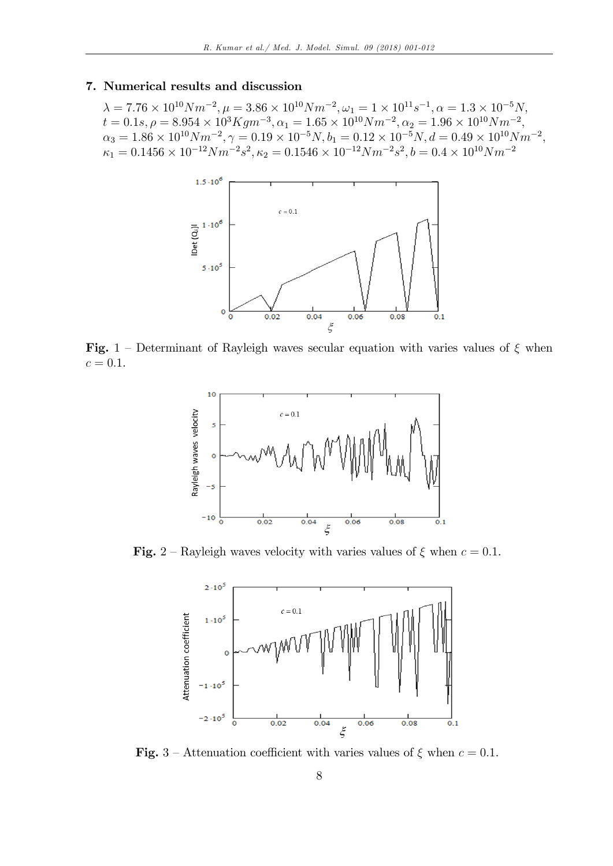### 7. Numerical results and discussion

 $\lambda = 7.76 \times 10^{10} N m^{-2}, \mu = 3.86 \times 10^{10} N m^{-2}, \omega_1 = 1 \times 10^{11} s^{-1}, \alpha = 1.3 \times 10^{-5} N,$  $t = 0.1s, \rho = 8.954 \times 10^3 K g m^{-3}, \alpha_1 = 1.65 \times 10^{10} N m^{-2}, \alpha_2 = 1.96 \times 10^{10} N m^{-2}$  $\alpha_3 = 1.86 \times 10^{10} Nm^{-2}, \gamma = 0.19 \times 10^{-5} N, b_1 = 0.12 \times 10^{-5} N, d = 0.49 \times 10^{10} Nm^{-2},$  $\kappa_1 = 0.1456 \times 10^{-12} N m^{-2} s^2, \kappa_2 = 0.1546 \times 10^{-12} N m^{-2} s^2, b = 0.4 \times 10^{10} N m^{-2}$ 



Fig. 1 – Determinant of Rayleigh waves secular equation with varies values of  $\xi$  when  $c = 0.1$ .



Fig. 2 – Rayleigh waves velocity with varies values of  $\xi$  when  $c = 0.1$ .



Fig. 3 – Attenuation coefficient with varies values of  $\xi$  when  $c = 0.1$ .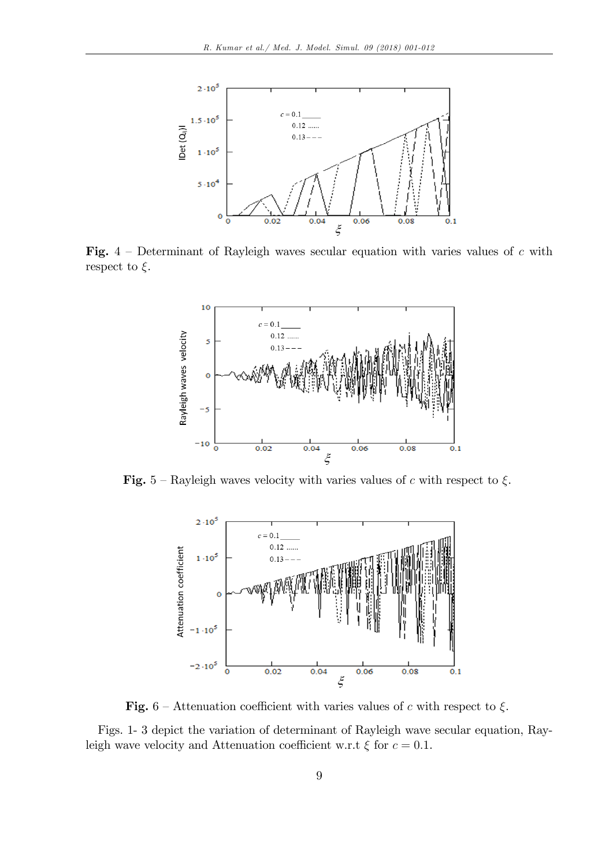

Fig.  $4$  – Determinant of Rayleigh waves secular equation with varies values of c with respect to  $\xi$ .



Fig. 5 – Rayleigh waves velocity with varies values of c with respect to  $\xi$ .



Fig. 6 – Attenuation coefficient with varies values of c with respect to  $\xi$ .

Figs. 1- 3 depict the variation of determinant of Rayleigh wave secular equation, Rayleigh wave velocity and Attenuation coefficient w.r.t  $\xi$  for  $c = 0.1$ .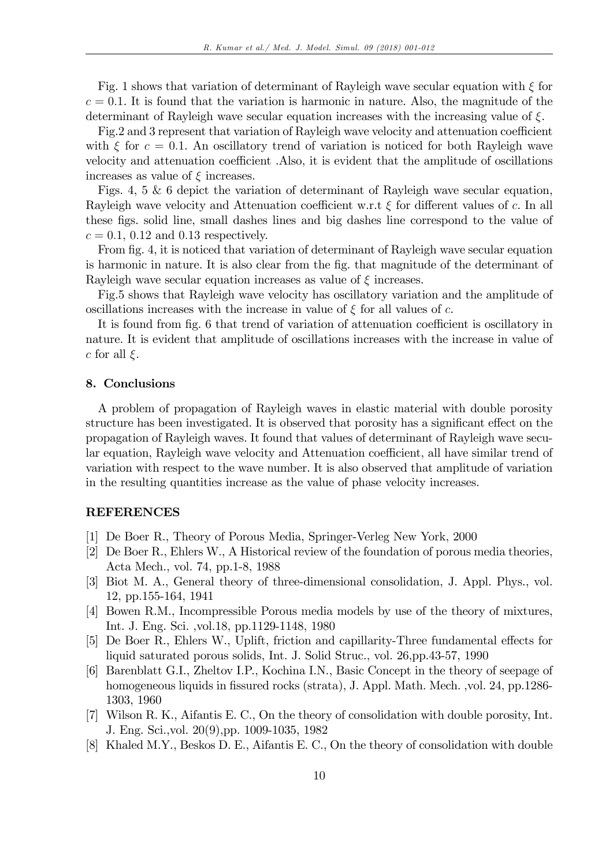Fig. 1 shows that variation of determinant of Rayleigh wave secular equation with  $\xi$  for  $c = 0.1$ . It is found that the variation is harmonic in nature. Also, the magnitude of the determinant of Rayleigh wave secular equation increases with the increasing value of  $\xi$ .

Fig.2 and 3 represent that variation of Rayleigh wave velocity and attenuation coefficient with  $\xi$  for  $c = 0.1$ . An oscillatory trend of variation is noticed for both Rayleigh wave velocity and attenuation coefficient .Also, it is evident that the amplitude of oscillations increases as value of  $\xi$  increases.

Figs. 4, 5 & 6 depict the variation of determinant of Rayleigh wave secular equation, Rayleigh wave velocity and Attenuation coefficient w.r.t  $\xi$  for different values of c. In all these figs. solid line, small dashes lines and big dashes line correspond to the value of  $c = 0.1$ , 0.12 and 0.13 respectively.

From fig. 4, it is noticed that variation of determinant of Rayleigh wave secular equation is harmonic in nature. It is also clear from the fig. that magnitude of the determinant of Rayleigh wave secular equation increases as value of  $\xi$  increases.

Fig.5 shows that Rayleigh wave velocity has oscillatory variation and the amplitude of oscillations increases with the increase in value of  $\xi$  for all values of c.

It is found from fig. 6 that trend of variation of attenuation coefficient is oscillatory in nature. It is evident that amplitude of oscillations increases with the increase in value of c for all  $\xi$ .

#### 8. Conclusions

A problem of propagation of Rayleigh waves in elastic material with double porosity structure has been investigated. It is observed that porosity has a significant effect on the propagation of Rayleigh waves. It found that values of determinant of Rayleigh wave secular equation, Rayleigh wave velocity and Attenuation coefficient, all have similar trend of variation with respect to the wave number. It is also observed that amplitude of variation in the resulting quantities increase as the value of phase velocity increases.

#### REFERENCES

- [1] De Boer R., Theory of Porous Media, Springer-Verleg New York, 2000
- [2] De Boer R., Ehlers W., A Historical review of the foundation of porous media theories, Acta Mech., vol. 74, pp.1-8, 1988
- [3] Biot M. A., General theory of three-dimensional consolidation, J. Appl. Phys., vol. 12, pp.155-164, 1941
- [4] Bowen R.M., Incompressible Porous media models by use of the theory of mixtures, Int. J. Eng. Sci. ,vol.18, pp.1129-1148, 1980
- [5] De Boer R., Ehlers W., Uplift, friction and capillarity-Three fundamental effects for liquid saturated porous solids, Int. J. Solid Struc., vol. 26,pp.43-57, 1990
- [6] Barenblatt G.I., Zheltov I.P., Kochina I.N., Basic Concept in the theory of seepage of homogeneous liquids in fissured rocks (strata), J. Appl. Math. Mech. ,vol. 24, pp.1286-1303, 1960
- [7] Wilson R. K., Aifantis E. C., On the theory of consolidation with double porosity, Int. J. Eng. Sci.,vol. 20(9),pp. 1009-1035, 1982
- [8] Khaled M.Y., Beskos D. E., Aifantis E. C., On the theory of consolidation with double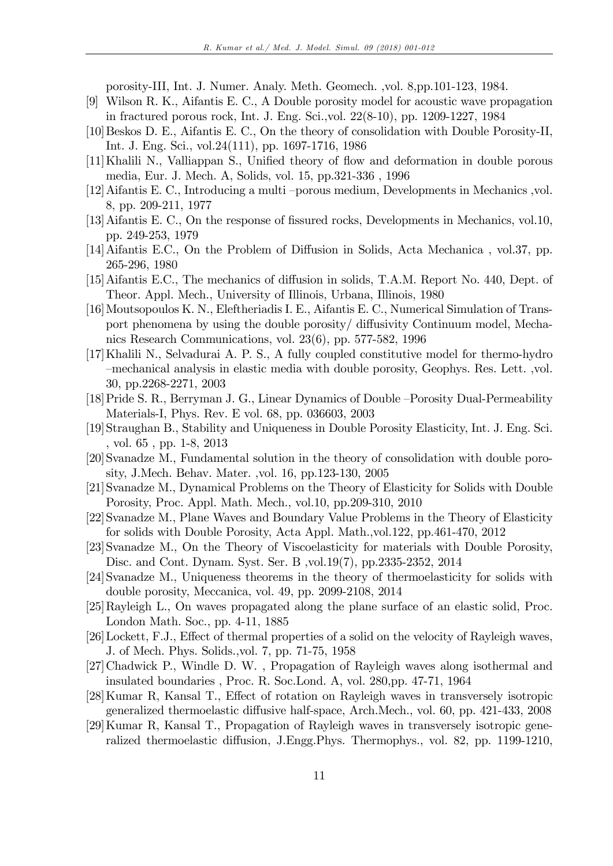porosity-III, Int. J. Numer. Analy. Meth. Geomech. ,vol. 8,pp.101-123, 1984.

- [9] Wilson R. K., Aifantis E. C., A Double porosity model for acoustic wave propagation in fractured porous rock, Int. J. Eng. Sci.,vol. 22(8-10), pp. 1209-1227, 1984
- [10] Beskos D. E., Aifantis E. C., On the theory of consolidation with Double Porosity-II, Int. J. Eng. Sci., vol.24(111), pp. 1697-1716, 1986
- [11]Khalili N., Valliappan S., Unified theory of flow and deformation in double porous media, Eur. J. Mech. A, Solids, vol. 15, pp.321-336 , 1996
- [12] Aifantis E. C., Introducing a multi -porous medium, Developments in Mechanics ,vol. 8, pp. 209-211, 1977
- [13] Aifantis E. C., On the response of fissured rocks, Developments in Mechanics, vol.10, pp. 249-253, 1979
- [14] Aifantis E.C., On the Problem of Diffusion in Solids, Acta Mechanica, vol.37, pp. 265-296, 1980
- [15] Aifantis E.C., The mechanics of diffusion in solids, T.A.M. Report No. 440, Dept. of Theor. Appl. Mech., University of Illinois, Urbana, Illinois, 1980
- [16]Moutsopoulos K. N., Eleftheriadis I. E., Aifantis E. C., Numerical Simulation of Transport phenomena by using the double porosity/ diffusivity Continuum model, Mechanics Research Communications, vol. 23(6), pp. 577-582, 1996
- [17]Khalili N., Selvadurai A. P. S., A fully coupled constitutive model for thermo-hydro -mechanical analysis in elastic media with double porosity, Geophys. Res. Lett. ,vol. 30, pp.2268-2271, 2003
- [18] Pride S. R., Berryman J. G., Linear Dynamics of Double Porosity Dual-Permeability Materials-I, Phys. Rev. E vol. 68, pp. 036603, 2003
- [19]Straughan B., Stability and Uniqueness in Double Porosity Elasticity, Int. J. Eng. Sci. , vol. 65 , pp. 1-8, 2013
- [20]Svanadze M., Fundamental solution in the theory of consolidation with double porosity, J.Mech. Behav. Mater. ,vol. 16, pp.123-130, 2005
- [21]Svanadze M., Dynamical Problems on the Theory of Elasticity for Solids with Double Porosity, Proc. Appl. Math. Mech., vol.10, pp.209-310, 2010
- [22]Svanadze M., Plane Waves and Boundary Value Problems in the Theory of Elasticity for solids with Double Porosity, Acta Appl. Math.,vol.122, pp.461-470, 2012
- [23]Svanadze M., On the Theory of Viscoelasticity for materials with Double Porosity, Disc. and Cont. Dynam. Syst. Ser. B ,vol.19(7), pp.2335-2352, 2014
- [24]Svanadze M., Uniqueness theorems in the theory of thermoelasticity for solids with double porosity, Meccanica, vol. 49, pp. 2099-2108, 2014
- [25]Rayleigh L., On waves propagated along the plane surface of an elastic solid, Proc. London Math. Soc., pp. 4-11, 1885
- [26] Lockett, F.J., Effect of thermal properties of a solid on the velocity of Rayleigh waves, J. of Mech. Phys. Solids.,vol. 7, pp. 71-75, 1958
- [27]Chadwick P., Windle D. W. , Propagation of Rayleigh waves along isothermal and insulated boundaries , Proc. R. Soc.Lond. A, vol. 280,pp. 47-71, 1964
- [28] Kumar R, Kansal T., Effect of rotation on Rayleigh waves in transversely isotropic generalized thermoelastic diffusive half-space, Arch.Mech., vol. 60, pp. 421-433, 2008
- [29]Kumar R, Kansal T., Propagation of Rayleigh waves in transversely isotropic generalized thermoelastic diffusion, J.Engg.Phys. Thermophys., vol. 82, pp. 1199-1210,